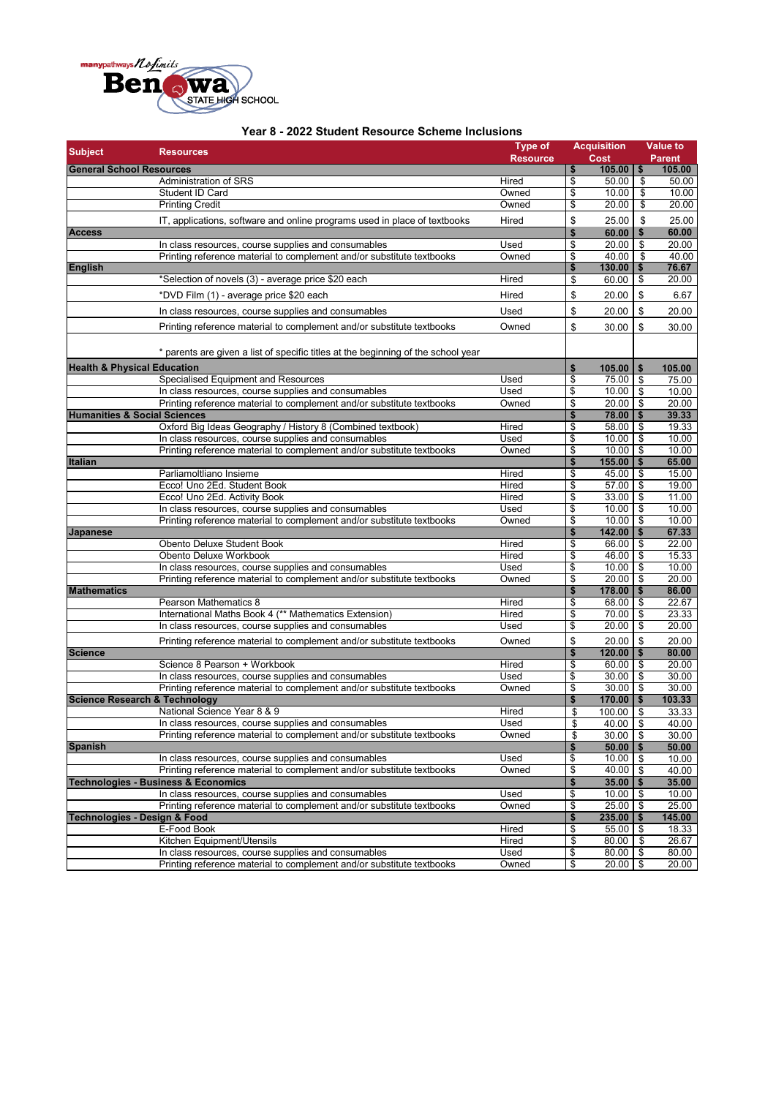

|                                 | Year 8 - 2022 Student Resource Scheme Inclusions                                  | <b>Type of</b>  | <b>Acquisition</b>    |    | <b>Value to</b> |
|---------------------------------|-----------------------------------------------------------------------------------|-----------------|-----------------------|----|-----------------|
| <b>Subject</b>                  | <b>Resources</b>                                                                  | <b>Resource</b> | Cost                  |    | <b>Parent</b>   |
| <b>General School Resources</b> |                                                                                   |                 | \$<br>105.00          | \$ | 105.00          |
|                                 | Administration of SRS                                                             | Hired           | \$<br>50.00           | \$ | 50.00           |
|                                 | Student ID Card                                                                   | Owned           | \$<br>10.00           | \$ | 10.00           |
|                                 | <b>Printing Credit</b>                                                            | Owned           | \$<br>20.00           | \$ | 20.00           |
|                                 | IT, applications, software and online programs used in place of textbooks         | Hired           | \$<br>25.00           | \$ | 25.00           |
| <b>Access</b>                   |                                                                                   |                 | \$<br>60.00           | \$ | 60.00           |
|                                 | In class resources, course supplies and consumables                               | Used            | \$<br>20.00           | \$ | 20.00           |
|                                 | Printing reference material to complement and/or substitute textbooks             | Owned           | \$<br>40.00           | \$ | 40.00           |
| <b>English</b>                  |                                                                                   |                 | \$<br>130.00          | \$ | 76.67           |
|                                 | *Selection of novels (3) - average price \$20 each                                | Hired           | \$<br>60.00           | \$ | 20.00           |
|                                 | *DVD Film (1) - average price \$20 each                                           | Hired           | \$<br>20.00           | \$ | 6.67            |
|                                 | In class resources, course supplies and consumables                               | Used            | \$<br>20.00           | \$ | 20.00           |
|                                 | Printing reference material to complement and/or substitute textbooks             | Owned           | \$<br>30.00           | \$ | 30.00           |
|                                 | * parents are given a list of specific titles at the beginning of the school year |                 |                       |    |                 |
|                                 |                                                                                   |                 | \$                    | \$ | 105.00          |
|                                 | <b>Health &amp; Physical Education</b><br>Specialised Equipment and Resources     | Used            | \$<br>105.00<br>75.00 | \$ | 75.00           |
|                                 | In class resources, course supplies and consumables                               | Used            | \$<br>10.00           | \$ | 10.00           |
|                                 | Printing reference material to complement and/or substitute textbooks             | Owned           | \$<br>20.00           | \$ | 20.00           |
|                                 | <b>Humanities &amp; Social Sciences</b>                                           |                 | \$<br>78.00           | \$ | 39.33           |
|                                 | Oxford Big Ideas Geography / History 8 (Combined textbook)                        | Hired           | \$<br>58.00           | \$ | 19.33           |
|                                 | In class resources, course supplies and consumables                               | Used            | \$<br>10.00           | \$ | 10.00           |
|                                 | Printing reference material to complement and/or substitute textbooks             | Owned           | \$<br>10.00           | \$ | 10.00           |
| <b>Italian</b>                  |                                                                                   |                 | \$<br>155.00          | \$ | 65.00           |
|                                 | Parliamoltliano Insieme                                                           | Hired           | \$<br>45.00           | \$ | 15.00           |
|                                 | Ecco! Uno 2Ed. Student Book                                                       | Hired           | \$<br>57.00           | \$ | 19.00           |
|                                 | Ecco! Uno 2Ed. Activity Book                                                      | Hired           | \$<br>33.00           | \$ | 11.00           |
|                                 | In class resources, course supplies and consumables                               | Used            | \$<br>10.00           | \$ | 10.00           |
|                                 | Printing reference material to complement and/or substitute textbooks             | Owned           | \$<br>10.00           | \$ | 10.00           |
| Japanese                        |                                                                                   |                 | \$<br>142.00          | \$ | 67.33           |
|                                 | Obento Deluxe Student Book                                                        | Hired           | \$<br>66.00           | \$ | 22.00           |
|                                 | Obento Deluxe Workbook                                                            | Hired           | \$<br>46.00           | \$ | 15.33           |
|                                 | In class resources, course supplies and consumables                               | Used            | \$<br>10.00           | \$ | 10.00           |
|                                 | Printing reference material to complement and/or substitute textbooks             | Owned           | \$<br>20.00           | \$ | 20.00           |
| <b>Mathematics</b>              |                                                                                   |                 | \$<br>178.00          | \$ | 86.00           |
|                                 | Pearson Mathematics 8                                                             | Hired           | \$<br>68.00           | \$ | 22.67           |
|                                 | International Maths Book 4 (** Mathematics Extension)                             | Hired           | \$<br>70.00           | \$ | 23.33           |
|                                 | In class resources, course supplies and consumables                               | Used            | \$<br>20.00           | \$ | 20.00           |
|                                 | Printing reference material to complement and/or substitute textbooks             | Owned           | \$<br>20.00           | \$ | 20.00           |
| <b>Science</b>                  |                                                                                   |                 | \$<br>120.00          | \$ | 80.00           |
|                                 | Science 8 Pearson + Workbook                                                      | Hired           | \$<br>60.00           | \$ | 20.00           |
|                                 | In class resources, course supplies and consumables                               | Used            | \$<br>30.00           | \$ | 30.00           |
|                                 | Printing reference material to complement and/or substitute textbooks             | Owned           | \$<br>30.00           | \$ | 30.00           |
|                                 | <b>Science Research &amp; Technology</b>                                          |                 | \$<br>170.00          | \$ | 103.33          |
|                                 | National Science Year 8 & 9                                                       | Hired           | \$<br>$100.00$ \$     |    | 33.33           |
|                                 | In class resources, course supplies and consumables                               | Used            | \$<br>40.00           | \$ | 40.00           |
|                                 | Printing reference material to complement and/or substitute textbooks             | Owned           | \$<br>30.00           | \$ | 30.00           |
| <b>Spanish</b>                  |                                                                                   |                 | \$<br>50.00           | \$ | 50.00           |
|                                 | In class resources, course supplies and consumables                               | Used            | \$<br>10.00           | \$ | 10.00           |
|                                 | Printing reference material to complement and/or substitute textbooks             | Owned           | \$<br>40.00           | \$ | 40.00           |
|                                 | <b>Technologies - Business &amp; Economics</b>                                    |                 | \$<br>35.00           | \$ | 35.00           |
|                                 | In class resources, course supplies and consumables                               | Used            | \$<br>10.00           | \$ | 10.00           |
|                                 | Printing reference material to complement and/or substitute textbooks             | Owned           | \$<br>25.00           | \$ | 25.00           |
|                                 | <b>Technologies - Design &amp; Food</b>                                           |                 | \$<br>235.00          | \$ | 145.00          |
|                                 | E-Food Book                                                                       | Hired           | \$<br>55.00           | \$ | 18.33           |
|                                 | Kitchen Equipment/Utensils                                                        | Hired           | \$<br>80.00           | \$ | 26.67           |
|                                 | In class resources, course supplies and consumables                               | Used            | \$<br>80.00           | \$ | 80.00           |
|                                 | Printing reference material to complement and/or substitute textbooks             | Owned           | \$<br>$20.00$ \$      |    | 20.00           |

## **Year 8 - 2022 Student Resource Scheme Inclusions**